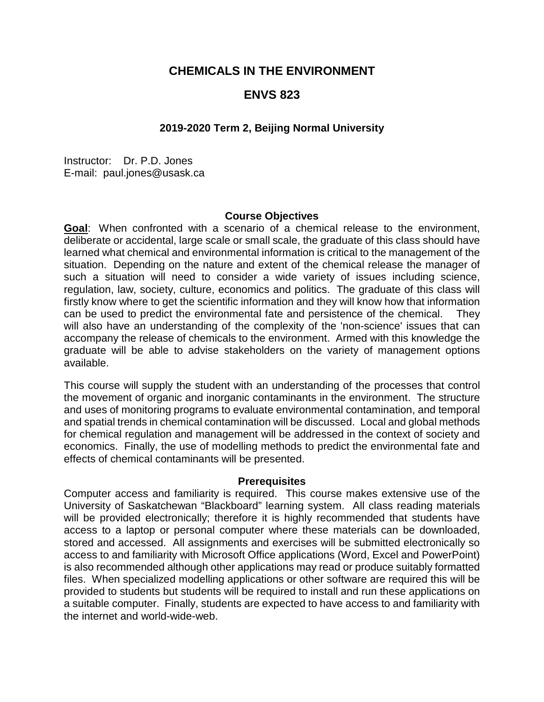# **CHEMICALS IN THE ENVIRONMENT**

# **ENVS 823**

# **2019-2020 Term 2, Beijing Normal University**

Instructor: Dr. P.D. Jones E-mail: paul.jones@usask.ca

#### **Course Objectives**

**Goal**: When confronted with a scenario of a chemical release to the environment, deliberate or accidental, large scale or small scale, the graduate of this class should have learned what chemical and environmental information is critical to the management of the situation. Depending on the nature and extent of the chemical release the manager of such a situation will need to consider a wide variety of issues including science, regulation, law, society, culture, economics and politics. The graduate of this class will firstly know where to get the scientific information and they will know how that information can be used to predict the environmental fate and persistence of the chemical. They will also have an understanding of the complexity of the 'non-science' issues that can accompany the release of chemicals to the environment. Armed with this knowledge the graduate will be able to advise stakeholders on the variety of management options available.

This course will supply the student with an understanding of the processes that control the movement of organic and inorganic contaminants in the environment. The structure and uses of monitoring programs to evaluate environmental contamination, and temporal and spatial trends in chemical contamination will be discussed. Local and global methods for chemical regulation and management will be addressed in the context of society and economics. Finally, the use of modelling methods to predict the environmental fate and effects of chemical contaminants will be presented.

#### **Prerequisites**

Computer access and familiarity is required. This course makes extensive use of the University of Saskatchewan "Blackboard" learning system. All class reading materials will be provided electronically; therefore it is highly recommended that students have access to a laptop or personal computer where these materials can be downloaded, stored and accessed. All assignments and exercises will be submitted electronically so access to and familiarity with Microsoft Office applications (Word, Excel and PowerPoint) is also recommended although other applications may read or produce suitably formatted files. When specialized modelling applications or other software are required this will be provided to students but students will be required to install and run these applications on a suitable computer. Finally, students are expected to have access to and familiarity with the internet and world-wide-web.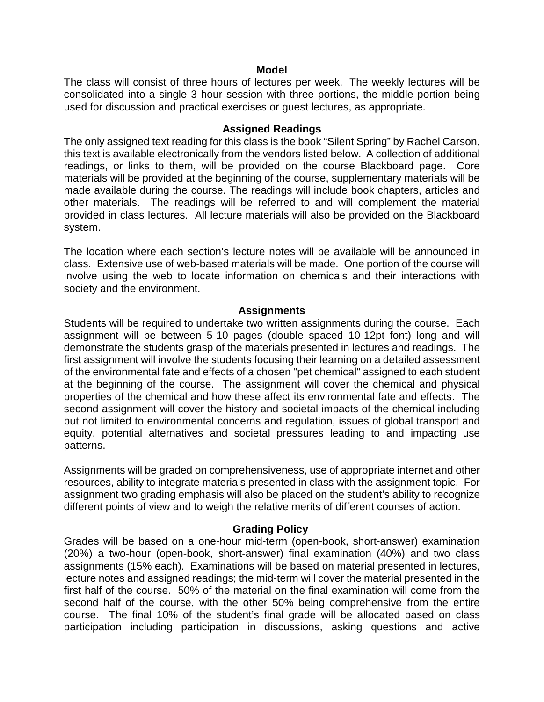### **Model**

The class will consist of three hours of lectures per week. The weekly lectures will be consolidated into a single 3 hour session with three portions, the middle portion being used for discussion and practical exercises or guest lectures, as appropriate.

#### **Assigned Readings**

The only assigned text reading for this class is the book "Silent Spring" by Rachel Carson, this text is available electronically from the vendors listed below. A collection of additional readings, or links to them, will be provided on the course Blackboard page. Core materials will be provided at the beginning of the course, supplementary materials will be made available during the course. The readings will include book chapters, articles and other materials. The readings will be referred to and will complement the material provided in class lectures. All lecture materials will also be provided on the Blackboard system.

The location where each section's lecture notes will be available will be announced in class. Extensive use of web-based materials will be made. One portion of the course will involve using the web to locate information on chemicals and their interactions with society and the environment.

### **Assignments**

Students will be required to undertake two written assignments during the course. Each assignment will be between 5-10 pages (double spaced 10-12pt font) long and will demonstrate the students grasp of the materials presented in lectures and readings. The first assignment will involve the students focusing their learning on a detailed assessment of the environmental fate and effects of a chosen "pet chemical" assigned to each student at the beginning of the course. The assignment will cover the chemical and physical properties of the chemical and how these affect its environmental fate and effects. The second assignment will cover the history and societal impacts of the chemical including but not limited to environmental concerns and regulation, issues of global transport and equity, potential alternatives and societal pressures leading to and impacting use patterns.

Assignments will be graded on comprehensiveness, use of appropriate internet and other resources, ability to integrate materials presented in class with the assignment topic. For assignment two grading emphasis will also be placed on the student's ability to recognize different points of view and to weigh the relative merits of different courses of action.

### **Grading Policy**

Grades will be based on a one-hour mid-term (open-book, short-answer) examination (20%) a two-hour (open-book, short-answer) final examination (40%) and two class assignments (15% each). Examinations will be based on material presented in lectures, lecture notes and assigned readings; the mid-term will cover the material presented in the first half of the course. 50% of the material on the final examination will come from the second half of the course, with the other 50% being comprehensive from the entire course. The final 10% of the student's final grade will be allocated based on class participation including participation in discussions, asking questions and active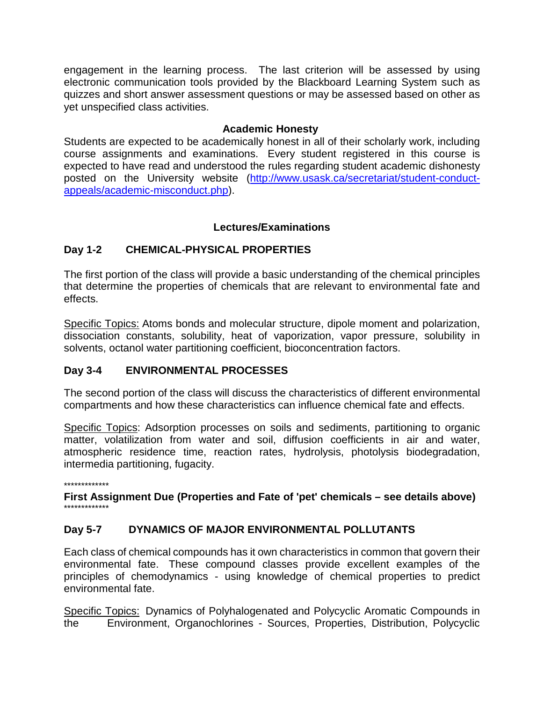engagement in the learning process. The last criterion will be assessed by using electronic communication tools provided by the Blackboard Learning System such as quizzes and short answer assessment questions or may be assessed based on other as yet unspecified class activities.

# **Academic Honesty**

Students are expected to be academically honest in all of their scholarly work, including course assignments and examinations. Every student registered in this course is expected to have read and understood the rules regarding student academic dishonesty posted on the University website [\(http://www.usask.ca/secretariat/student-conduct](http://www.usask.ca/secretariat/student-conduct-appeals/academic-misconduct.php)[appeals/academic-misconduct.php\)](http://www.usask.ca/secretariat/student-conduct-appeals/academic-misconduct.php).

# **Lectures/Examinations**

# **Day 1-2 CHEMICAL-PHYSICAL PROPERTIES**

The first portion of the class will provide a basic understanding of the chemical principles that determine the properties of chemicals that are relevant to environmental fate and effects.

Specific Topics: Atoms bonds and molecular structure, dipole moment and polarization, dissociation constants, solubility, heat of vaporization, vapor pressure, solubility in solvents, octanol water partitioning coefficient, bioconcentration factors.

# **Day 3-4 ENVIRONMENTAL PROCESSES**

The second portion of the class will discuss the characteristics of different environmental compartments and how these characteristics can influence chemical fate and effects.

Specific Topics: Adsorption processes on soils and sediments, partitioning to organic matter, volatilization from water and soil, diffusion coefficients in air and water, atmospheric residence time, reaction rates, hydrolysis, photolysis biodegradation, intermedia partitioning, fugacity.

\*\*\*\*\*\*\*\*\*\*\*\*\*

**First Assignment Due (Properties and Fate of 'pet' chemicals – see details above)** \*\*\*\*\*\*\*\*\*\*\*\*\*

# **Day 5-7 DYNAMICS OF MAJOR ENVIRONMENTAL POLLUTANTS**

Each class of chemical compounds has it own characteristics in common that govern their environmental fate. These compound classes provide excellent examples of the principles of chemodynamics - using knowledge of chemical properties to predict environmental fate.

Specific Topics: Dynamics of Polyhalogenated and Polycyclic Aromatic Compounds in the Environment, Organochlorines - Sources, Properties, Distribution, Polycyclic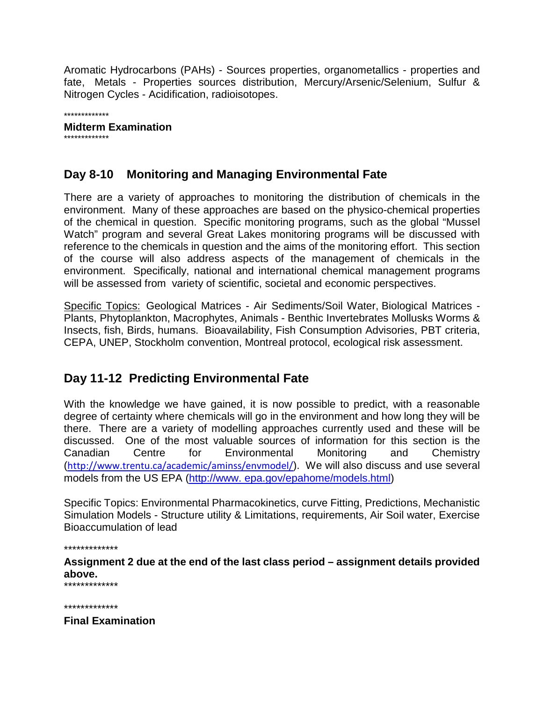Aromatic Hydrocarbons (PAHs) - Sources properties, organometallics - properties and fate, Metals - Properties sources distribution, Mercury/Arsenic/Selenium, Sulfur & Nitrogen Cycles - Acidification, radioisotopes.

\*\*\*\*\*\*\*\*\*\*\*\*\*

# **Midterm Examination**

\*\*\*\*\*\*\*\*\*\*\*\*\*

# **Day 8-10 Monitoring and Managing Environmental Fate**

There are a variety of approaches to monitoring the distribution of chemicals in the environment. Many of these approaches are based on the physico-chemical properties of the chemical in question. Specific monitoring programs, such as the global "Mussel Watch" program and several Great Lakes monitoring programs will be discussed with reference to the chemicals in question and the aims of the monitoring effort. This section of the course will also address aspects of the management of chemicals in the environment. Specifically, national and international chemical management programs will be assessed from variety of scientific, societal and economic perspectives.

Specific Topics: Geological Matrices - Air Sediments/Soil Water, Biological Matrices - Plants, Phytoplankton, Macrophytes, Animals - Benthic Invertebrates Mollusks Worms & Insects, fish, Birds, humans. Bioavailability, Fish Consumption Advisories, PBT criteria, CEPA, UNEP, Stockholm convention, Montreal protocol, ecological risk assessment.

# **Day 11-12 Predicting Environmental Fate**

With the knowledge we have gained, it is now possible to predict, with a reasonable degree of certainty where chemicals will go in the environment and how long they will be there. There are a variety of modelling approaches currently used and these will be discussed. One of the most valuable sources of information for this section is the Canadian Centre for Environmental Monitoring and Chemistry (<http://www.trentu.ca/academic/aminss/envmodel/>). We will also discuss and use several models from the US EPA (http://www. epa.gov/epahome/models.html)

Specific Topics: Environmental Pharmacokinetics, curve Fitting, Predictions, Mechanistic Simulation Models - Structure utility & Limitations, requirements, Air Soil water, Exercise Bioaccumulation of lead

\*\*\*\*\*\*\*\*\*\*\*\*\*

**Assignment 2 due at the end of the last class period – assignment details provided above.**

\*\*\*\*\*\*\*\*\*\*\*\*\*

\*\*\*\*\*\*\*\*\*\*\*\*\*

**Final Examination**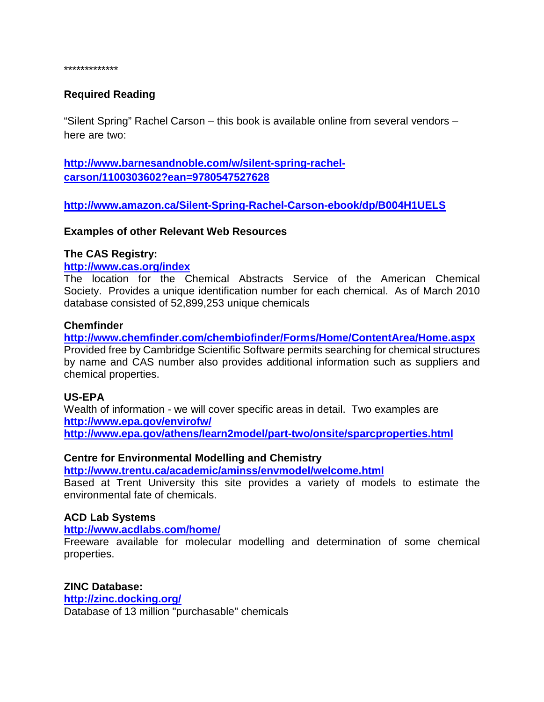\*\*\*\*\*\*\*\*\*\*\*\*\*

# **Required Reading**

"Silent Spring" Rachel Carson – this book is available online from several vendors – here are two:

**[http://www.barnesandnoble.com/w/silent-spring-rachel](http://www.barnesandnoble.com/w/silent-spring-rachel-carson/1100303602?ean=9780547527628)[carson/1100303602?ean=9780547527628](http://www.barnesandnoble.com/w/silent-spring-rachel-carson/1100303602?ean=9780547527628)**

**<http://www.amazon.ca/Silent-Spring-Rachel-Carson-ebook/dp/B004H1UELS>**

**Examples of other Relevant Web Resources**

#### **The CAS Registry:**

#### **<http://www.cas.org/index>**

The location for the Chemical Abstracts Service of the American Chemical Society. Provides a unique identification number for each chemical. As of March 2010 database consisted of 52,899,253 unique chemicals

### **Chemfinder**

**<http://www.chemfinder.com/chembiofinder/Forms/Home/ContentArea/Home.aspx>** Provided free by Cambridge Scientific Software permits searching for chemical structures by name and CAS number also provides additional information such as suppliers and chemical properties.

### **US-EPA**

Wealth of information - we will cover specific areas in detail. Two examples are **<http://www.epa.gov/envirofw/> <http://www.epa.gov/athens/learn2model/part-two/onsite/sparcproperties.html>**

### **Centre for Environmental Modelling and Chemistry**

**<http://www.trentu.ca/academic/aminss/envmodel/welcome.html>**

Based at Trent University this site provides a variety of models to estimate the environmental fate of chemicals.

### **ACD Lab Systems**

**<http://www.acdlabs.com/home/>**

Freeware available for molecular modelling and determination of some chemical properties.

#### **ZINC Database:**

**<http://zinc.docking.org/>** Database of 13 million "purchasable" chemicals